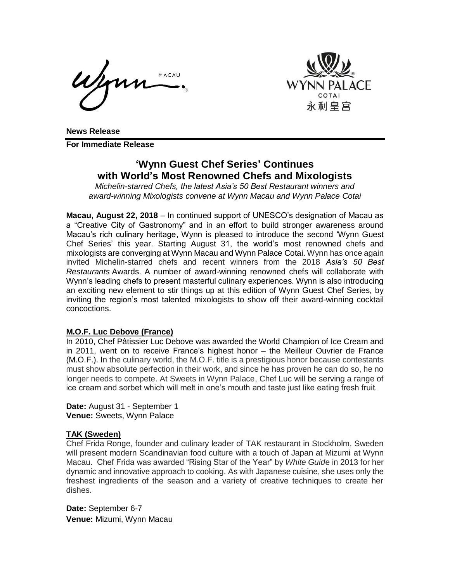MACAU



**News Release**

**For Immediate Release**

# **'Wynn Guest Chef Series' Continues with World's Most Renowned Chefs and Mixologists**

*Michelin-starred Chefs, the latest Asia's 50 Best Restaurant winners and award-winning Mixologists convene at Wynn Macau and Wynn Palace Cotai*

**Macau, August 22, 2018** – In continued support of UNESCO's designation of Macau as a "Creative City of Gastronomy" and in an effort to build stronger awareness around Macau's rich culinary heritage, Wynn is pleased to introduce the second 'Wynn Guest Chef Series' this year. Starting August 31, the world's most renowned chefs and mixologists are converging at Wynn Macau and Wynn Palace Cotai. Wynn has once again invited Michelin-starred chefs and recent winners from the 2018 *Asia's 50 Best Restaurants* Awards. A number of award-winning renowned chefs will collaborate with Wynn's leading chefs to present masterful culinary experiences. Wynn is also introducing an exciting new element to stir things up at this edition of Wynn Guest Chef Series, by inviting the region's most talented mixologists to show off their award-winning cocktail concoctions.

#### **M.O.F. Luc Debove (France)**

In 2010, Chef Pâtissier Luc Debove was awarded the World Champion of Ice Cream and in 2011, went on to receive France's highest honor – the Meilleur Ouvrier de France (M.O.F.). In the culinary world, the M.O.F. title is a prestigious honor because contestants must show absolute perfection in their work, and since he has proven he can do so, he no longer needs to compete. At Sweets in Wynn Palace, Chef Luc will be serving a range of ice cream and sorbet which will melt in one's mouth and taste just like eating fresh fruit.

**Date:** August 31 - September 1 **Venue:** Sweets, Wynn Palace

## **TAK (Sweden)**

Chef Frida Ronge, founder and culinary leader of TAK restaurant in Stockholm, Sweden will present modern Scandinavian food culture with a touch of Japan at Mizumi at Wynn Macau. Chef Frida was awarded "Rising Star of the Year" by *White Guid*e in 2013 for her dynamic and innovative approach to cooking. As with Japanese cuisine, she uses only the freshest ingredients of the season and a variety of creative techniques to create her dishes.

**Date:** September 6-7 **Venue:** Mizumi, Wynn Macau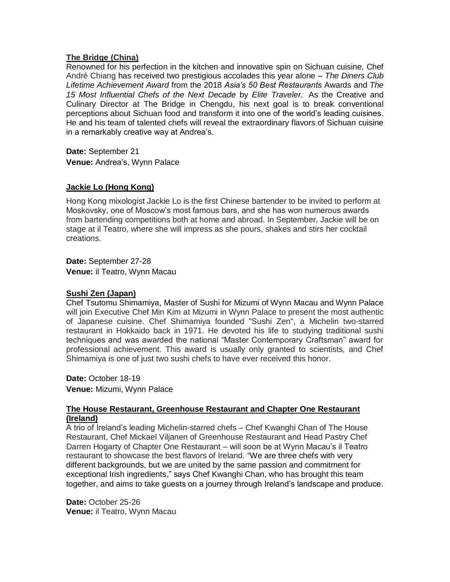## **The Bridge (China)**

Renowned for his perfection in the kitchen and innovative spin on Sichuan cuisine, Chef André Chiang has received two prestigious accolades this year alone – *The Diners Club Lifetime Achievement Award* from the 2018 *Asia's 50 Best Restaurants* Awards and *The 15 Most Influential Chefs of the Next Decade* by *Elite Traveler*. As the Creative and Culinary Director at The Bridge in Chengdu, his next goal is to break conventional perceptions about Sichuan food and transform it into one of the world's leading cuisines. He and his team of talented chefs will reveal the extraordinary flavors of Sichuan cuisine in a remarkably creative way at Andrea's.

**Date:** September 21 **Venue:** Andrea's, Wynn Palace

# **Jackie Lo (Hong Kong)**

Hong Kong mixologist Jackie Lo is the first Chinese bartender to be invited to perform at Moskovsky, one of Moscow's most famous bars, and she has won numerous awards from bartending competitions both at home and abroad. In September, Jackie will be on stage at il Teatro, where she will impress as she pours, shakes and stirs her cocktail creations.

**Date:** September 27-28 **Venue:** il Teatro, Wynn Macau

## **Sushi Zen (Japan)**

Chef Tsutomu Shimamiya, Master of Sushi for Mizumi of Wynn Macau and Wynn Palace will join Executive Chef Min Kim at Mizumi in Wynn Palace to present the most authentic of Japanese cuisine. Chef Shimamiya founded "Sushi Zen", a Michelin two-starred restaurant in Hokkaido back in 1971. He devoted his life to studying traditional sushi techniques and was awarded the national "Master Contemporary Craftsman" award for professional achievement. This award is usually only granted to scientists, and Chef Shimamiya is one of just two sushi chefs to have ever received this honor.

**Date:** October 18-19 **Venue:** Mizumi, Wynn Palace

## **The House Restaurant, Greenhouse Restaurant and Chapter One Restaurant (Ireland)**

A trio of Ireland's leading Michelin-starred chefs – Chef Kwanghi Chan of The House Restaurant, Chef Mickael Viljanen of Greenhouse Restaurant and Head Pastry Chef Darren Hogarty of Chapter One Restaurant – will soon be at Wynn Macau's il Teatro restaurant to showcase the best flavors of Ireland. "We are three chefs with very different backgrounds, but we are united by the same passion and commitment for exceptional Irish ingredients," says Chef Kwanghi Chan, who has brought this team together, and aims to take guests on a journey through Ireland's landscape and produce.

**Date:** October 25-26 **Venue:** il Teatro, Wynn Macau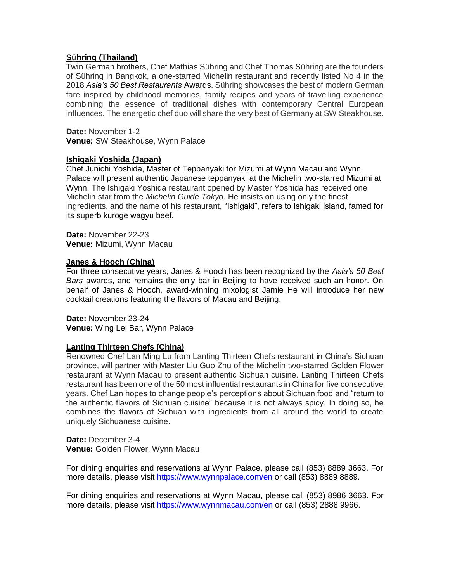## **Sühring (Thailand)**

Twin German brothers, Chef Mathias Sühring and Chef Thomas Sühring are the founders of Sühring in Bangkok, a one-starred Michelin restaurant and recently listed No 4 in the 2018 *Asia's 50 Best Restaurants* Awards. Sühring showcases the best of modern German fare inspired by childhood memories, family recipes and years of travelling experience combining the essence of traditional dishes with contemporary Central European influences. The energetic chef duo will share the very best of Germany at SW Steakhouse.

**Date:** November 1-2 **Venue:** SW Steakhouse, Wynn Palace

#### **Ishigaki Yoshida (Japan)**

Chef Junichi Yoshida, Master of Teppanyaki for Mizumi at Wynn Macau and Wynn Palace will present authentic Japanese teppanyaki at the Michelin two-starred Mizumi at Wynn. The Ishigaki Yoshida restaurant opened by Master Yoshida has received one Michelin star from the *Michelin Guide Tokyo*. He insists on using only the finest ingredients, and the name of his restaurant, "Ishigaki", refers to Ishigaki island, famed for its superb kuroge wagyu beef.

**Date:** November 22-23 **Venue:** Mizumi, Wynn Macau

#### **Janes & Hooch (China)**

For three consecutive years, Janes & Hooch has been recognized by the *Asia's 50 Best Bars* awards, and remains the only bar in Beijing to have received such an honor. On behalf of Janes & Hooch, award-winning mixologist Jamie He will introduce her new cocktail creations featuring the flavors of Macau and Beijing.

**Date:** November 23-24 **Venue:** Wing Lei Bar, Wynn Palace

## **Lanting Thirteen Chefs (China)**

Renowned Chef Lan Ming Lu from Lanting Thirteen Chefs restaurant in China's Sichuan province, will partner with Master Liu Guo Zhu of the Michelin two-starred Golden Flower restaurant at Wynn Macau to present authentic Sichuan cuisine. Lanting Thirteen Chefs restaurant has been one of the 50 most influential restaurants in China for five consecutive years. Chef Lan hopes to change people's perceptions about Sichuan food and "return to the authentic flavors of Sichuan cuisine" because it is not always spicy. In doing so, he combines the flavors of Sichuan with ingredients from all around the world to create uniquely Sichuanese cuisine.

**Date:** December 3-4 **Venue:** Golden Flower, Wynn Macau

For dining enquiries and reservations at Wynn Palace, please call (853) 8889 3663. For more details, please visit<https://www.wynnpalace.com/en> or call (853) 8889 8889.

For dining enquiries and reservations at Wynn Macau, please call (853) 8986 3663. For more details, please visit <https://www.wynnmacau.com/en> or call (853) 2888 9966.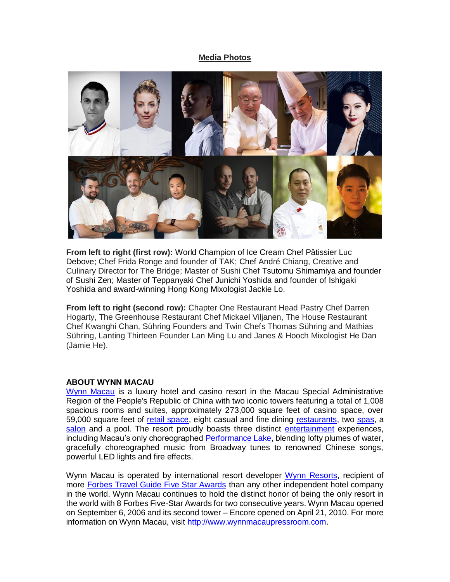## **Media Photos**



**From left to right (first row):** World Champion of Ice Cream Chef Pâtissier Luc Debove; Chef Frida Ronge and founder of TAK; Chef André Chiang, Creative and Culinary Director for The Bridge; Master of Sushi Chef Tsutomu Shimamiya and founder of Sushi Zen; Master of Teppanyaki Chef Junichi Yoshida and founder of Ishigaki Yoshida and award-winning Hong Kong Mixologist Jackie Lo.

**From left to right (second row):** Chapter One Restaurant Head Pastry Chef Darren Hogarty, The Greenhouse Restaurant Chef Mickael Viljanen, The House Restaurant Chef Kwanghi Chan, Sühring Founders and Twin Chefs Thomas Sühring and Mathias Sühring, Lanting Thirteen Founder Lan Ming Lu and Janes & Hooch Mixologist He Dan (Jamie He).

#### **ABOUT WYNN MACAU**

[Wynn Macau](http://www.wynnmacau.com/) is a luxury hotel and casino resort in the Macau Special Administrative Region of the People's Republic of China with two iconic towers featuring a total of 1,008 spacious rooms and suites, approximately 273,000 square feet of casino space, over 59,000 square feet of [retail space,](http://www.wynnmacau.com/en/shops) eight casual and fine dining [restaurants,](http://www.wynnmacau.com/en/restaurants-n-bars) two [spas,](http://www.wynnmacau.com/en/facilities-n-spas) a [salon](http://www.wynnmacau.com/en/facilities-n-spas/the-salon) and a pool. The resort proudly boasts three distinct [entertainment](http://www.wynnmacau.com/en/shows) experiences, including Macau's only choreographed [Performance Lake,](http://www.wynnmacau.com/en/shows/performance-lake) blending lofty plumes of water, gracefully choreographed music from Broadway tunes to renowned Chinese songs, powerful LED lights and fire effects.

Wynn Macau is operated by international resort developer [Wynn Resorts,](http://www.wynnresorts.com/) recipient of more [Forbes Travel Guide Five Star Awards](http://www.forbestravelguide.com/about/awardwinners) than any other independent hotel company in the world. Wynn Macau continues to hold the distinct honor of being the only resort in the world with 8 Forbes Five-Star Awards for two consecutive years. Wynn Macau opened on September 6, 2006 and its second tower – Encore opened on April 21, 2010. For more information on Wynn Macau, visit [http://www.wynnmacaupressroom.com.](http://www.wynnmacaupressroom.com/)